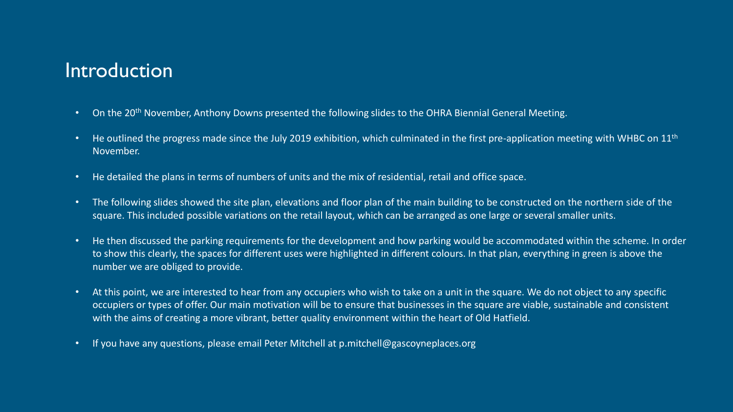#### Introduction

- On the 20<sup>th</sup> November, Anthony Downs presented the following slides to the OHRA Biennial General Meeting.
- He outlined the progress made since the July 2019 exhibition, which culminated in the first pre-application meeting with WHBC on  $11<sup>th</sup>$ November.
- He detailed the plans in terms of numbers of units and the mix of residential, retail and office space.
- The following slides showed the site plan, elevations and floor plan of the main building to be constructed on the northern side of the square. This included possible variations on the retail layout, which can be arranged as one large or several smaller units.
- He then discussed the parking requirements for the development and how parking would be accommodated within the scheme. In order to show this clearly, the spaces for different uses were highlighted in different colours. In that plan, everything in green is above the number we are obliged to provide.
- At this point, we are interested to hear from any occupiers who wish to take on a unit in the square. We do not object to any specific occupiers or types of offer. Our main motivation will be to ensure that businesses in the square are viable, sustainable and consistent with the aims of creating a more vibrant, better quality environment within the heart of Old Hatfield.
- If you have any questions, please email Peter Mitchell at p.mitchell@gascoyneplaces.org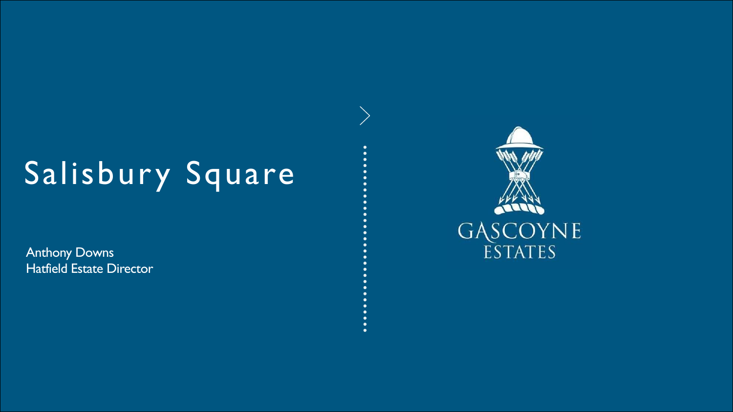# Salisbury Square

Anthony Downs Hatfield Estate Director

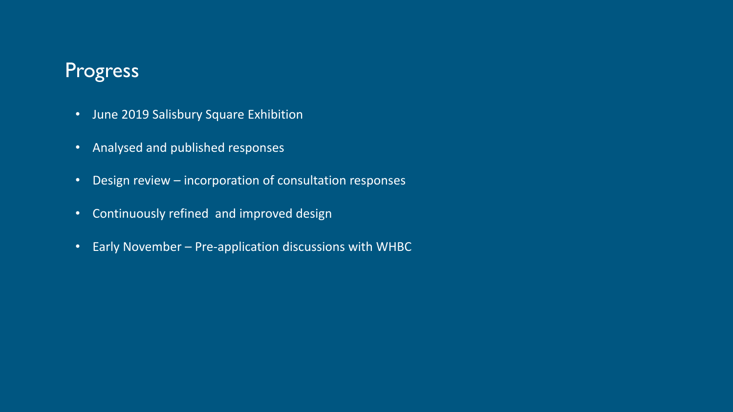### Progress

- June 2019 Salisbury Square Exhibition
- Analysed and published responses
- Design review incorporation of consultation responses
- Continuously refined and improved design
- Early November Pre-application discussions with WHBC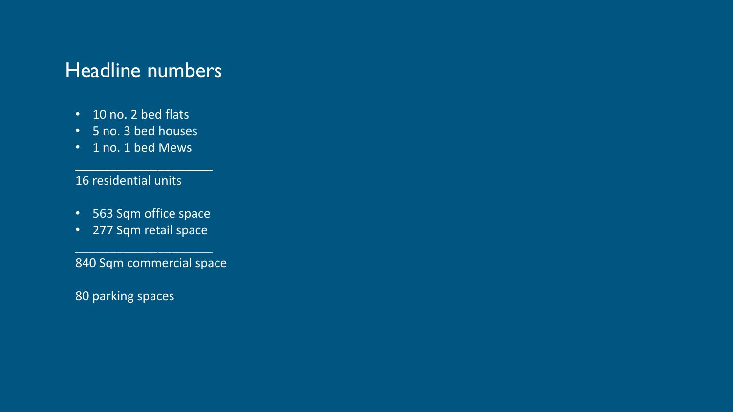### Headline numbers

- 10 no. 2 bed flats
- 5 no. 3 bed houses
- 1 no. 1 bed Mews

16 residential units

• 563 Sqm office space

 $\overline{\phantom{a}}$  , which is the set of the set of the set of the set of the set of the set of the set of the set of the set of the set of the set of the set of the set of the set of the set of the set of the set of the set of

• 277 Sqm retail space

 $\overline{\phantom{a}}$  , which is the set of the set of the set of the set of the set of the set of the set of the set of the set of the set of the set of the set of the set of the set of the set of the set of the set of the set of

840 Sqm commercial space

80 parking spaces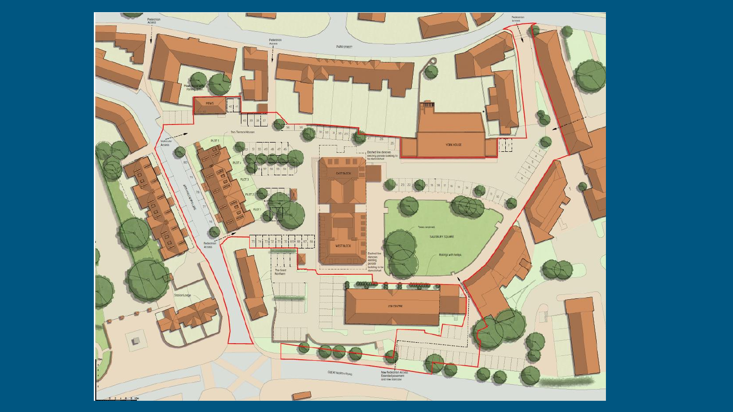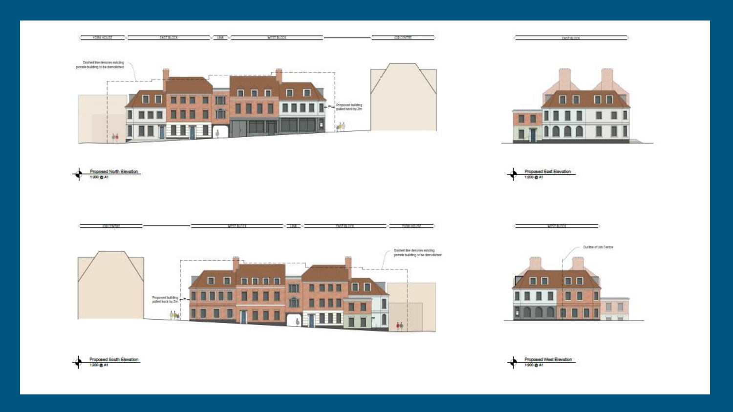



**DAST BLOCK** 

Proposed East Elevation 1:200 Q A1

WEST BLOCK





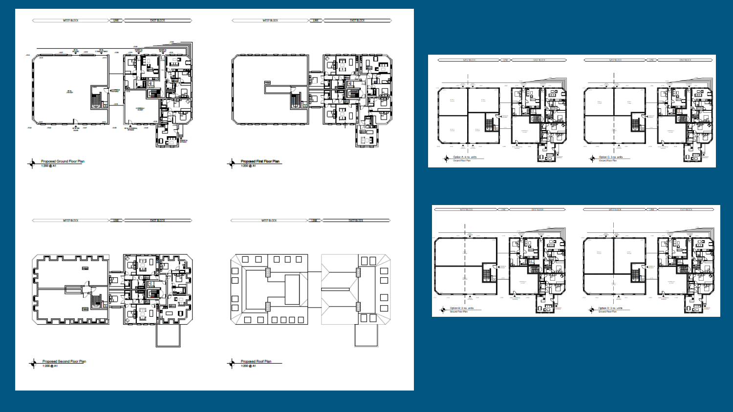









Proposed First Floor Plan

Proposed Roof Plan

1200 Q At

1200 @ At



**MISTOLOGY** 









 $\overline{\mathbf{H}}$ 

OPPRICH

**Filli** 

. I

П

견

 $\mathsf{lo}$   $\mathbb {E}$ 

**WIST BLOCK**  $\times$ uw $\times$ **WEST BLOCK EAST BLOCK** 

 $\times$  INC  $\times$ **EAST BLOCK** 

**MANA** BERGE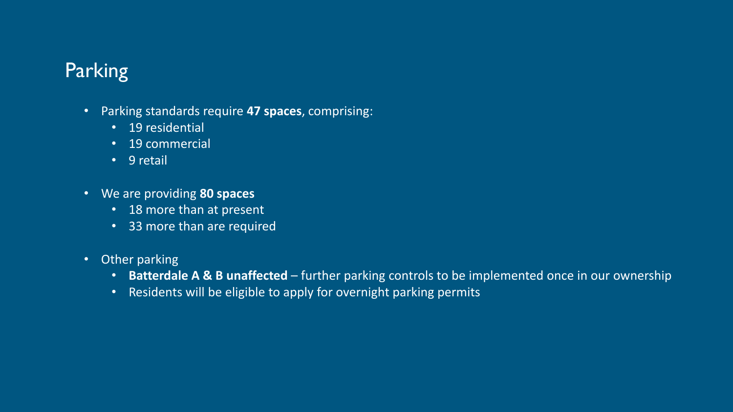## Parking

- Parking standards require **47 spaces**, comprising:
	- 19 residential
	- 19 commercial
	- 9 retail
- We are providing **80 spaces**
	- 18 more than at present
	- 33 more than are required
- Other parking
	- **Batterdale A & B unaffected**  further parking controls to be implemented once in our ownership
	- Residents will be eligible to apply for overnight parking permits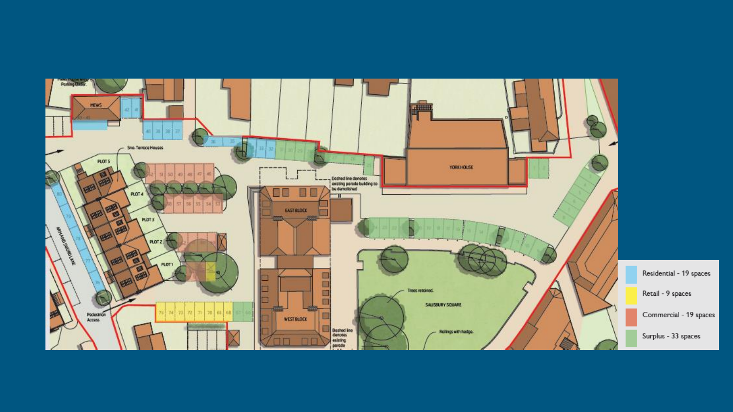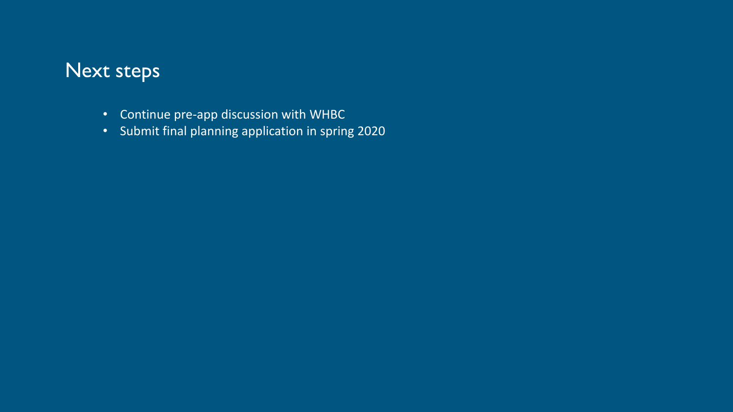#### Next steps

- Continue pre-app discussion with WHBC
- Submit final planning application in spring 2020